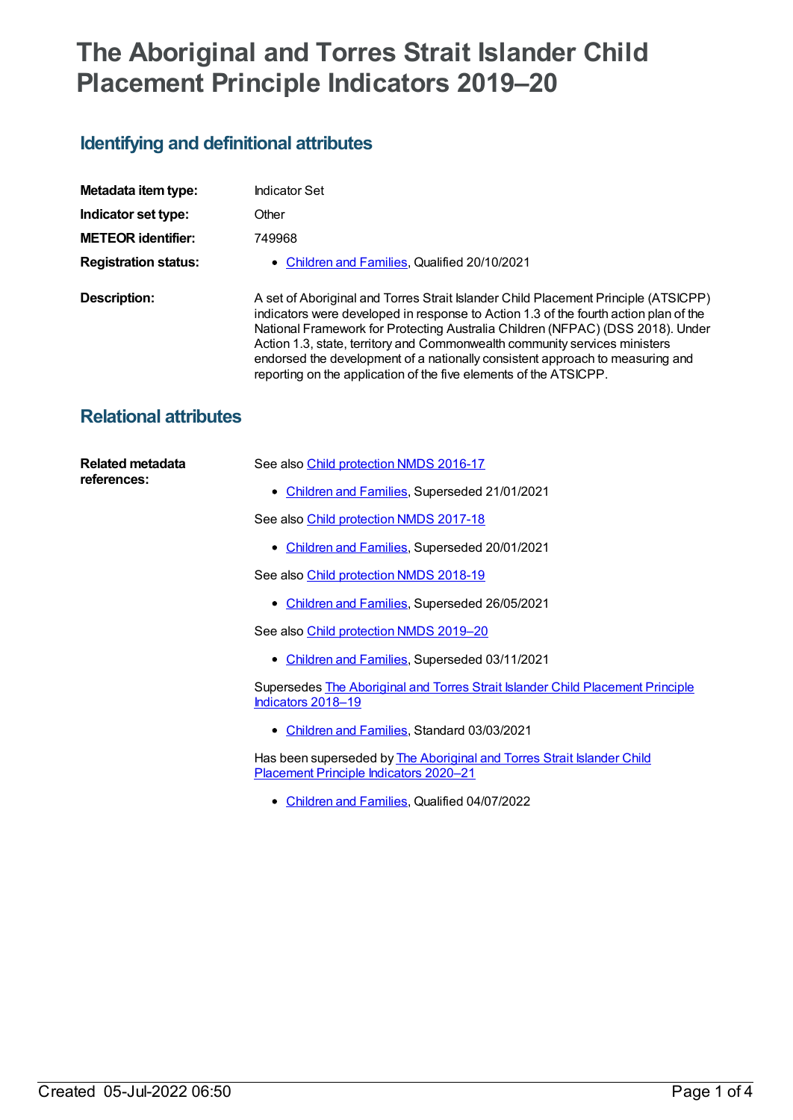# **The Aboriginal and Torres Strait Islander Child Placement Principle Indicators 2019–20**

## **Identifying and definitional attributes**

| Metadata item type:         | <b>Indicator Set</b>                                                                                                                                                                                                                                                                                                                                                                                                                                                                             |
|-----------------------------|--------------------------------------------------------------------------------------------------------------------------------------------------------------------------------------------------------------------------------------------------------------------------------------------------------------------------------------------------------------------------------------------------------------------------------------------------------------------------------------------------|
| Indicator set type:         | Other                                                                                                                                                                                                                                                                                                                                                                                                                                                                                            |
| <b>METEOR identifier:</b>   | 749968                                                                                                                                                                                                                                                                                                                                                                                                                                                                                           |
| <b>Registration status:</b> | • Children and Families, Qualified 20/10/2021                                                                                                                                                                                                                                                                                                                                                                                                                                                    |
| Description:                | A set of Aboriginal and Torres Strait Islander Child Placement Principle (ATSICPP)<br>indicators were developed in response to Action 1.3 of the fourth action plan of the<br>National Framework for Protecting Australia Children (NFPAC) (DSS 2018). Under<br>Action 1.3, state, territory and Commonwealth community services ministers<br>endorsed the development of a nationally consistent approach to measuring and<br>reporting on the application of the five elements of the ATSICPP. |

## **Relational attributes**

| Related metadata<br>references: | See also Child protection NMDS 2016-17                                                                           |
|---------------------------------|------------------------------------------------------------------------------------------------------------------|
|                                 | • Children and Families, Superseded 21/01/2021                                                                   |
|                                 | See also Child protection NMDS 2017-18                                                                           |
|                                 | • Children and Families, Superseded 20/01/2021                                                                   |
|                                 | See also Child protection NMDS 2018-19                                                                           |
|                                 | • Children and Families, Superseded 26/05/2021                                                                   |
|                                 | See also Child protection NMDS 2019-20                                                                           |
|                                 | • Children and Families, Superseded 03/11/2021                                                                   |
|                                 | Supersedes The Aboriginal and Torres Strait Islander Child Placement Principle<br>Indicators 2018-19             |
|                                 | • Children and Families, Standard 03/03/2021                                                                     |
|                                 | Has been superseded by The Aboriginal and Torres Strait Islander Child<br>Placement Principle Indicators 2020-21 |
|                                 | Children and Families, Qualified 04/07/2022                                                                      |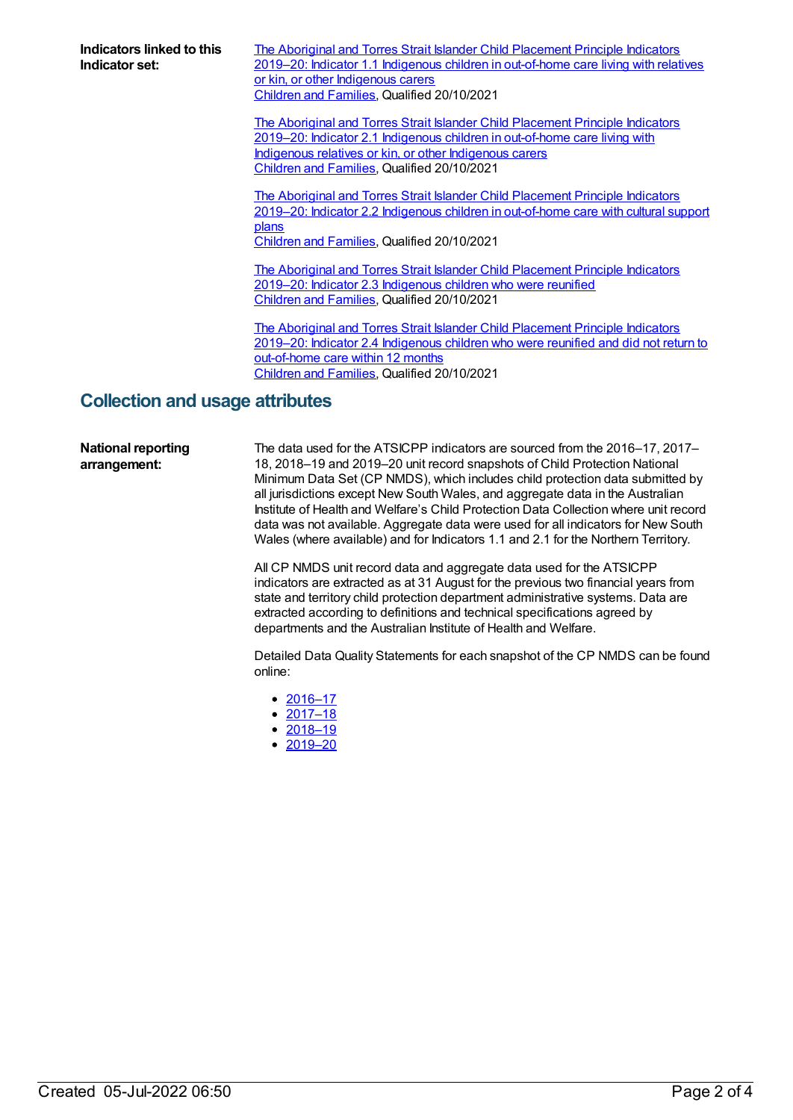**Indicators linked to this Indicator set:**

The Aboriginal and Torres Strait Islander Child Placement Principle Indicators 2019–20: Indicator 1.1 Indigenous children in [out-of-home](https://meteor.aihw.gov.au/content/749970) care living with relatives or kin, or other Indigenous carers [Children](https://meteor.aihw.gov.au/RegistrationAuthority/17) and Families, Qualified 20/10/2021

The Aboriginal and Torres Strait Islander Child Placement Principle Indicators 2019–20: Indicator 2.1 Indigenous children in [out-of-home](https://meteor.aihw.gov.au/content/749972) care living with Indigenous relatives or kin, or other Indigenous carers [Children](https://meteor.aihw.gov.au/RegistrationAuthority/17) and Families, Qualified 20/10/2021

The Aboriginal and Torres Strait Islander Child Placement Principle Indicators 2019–20: Indicator 2.2 Indigenous children in [out-of-home](https://meteor.aihw.gov.au/content/749974) care with cultural support plans

[Children](https://meteor.aihw.gov.au/RegistrationAuthority/17) and Families, Qualified 20/10/2021

The Aboriginal and Torres Strait Islander Child [Placement](https://meteor.aihw.gov.au/content/749991) Principle Indicators 2019–20: Indicator 2.3 Indigenous children who were reunified [Children](https://meteor.aihw.gov.au/RegistrationAuthority/17) and Families, Qualified 20/10/2021

The Aboriginal and Torres Strait Islander Child Placement Principle Indicators 2019–20: Indicator 2.4 [Indigenous](https://meteor.aihw.gov.au/content/749993) children who were reunified and did not return to out-of-home care within 12 months [Children](https://meteor.aihw.gov.au/RegistrationAuthority/17) and Families, Qualified 20/10/2021

### **Collection and usage attributes**

#### **National reporting arrangement:**

The data used for the ATSICPP indicators are sourced from the 2016–17, 2017– 18, 2018–19 and 2019–20 unit record snapshots of Child Protection National Minimum Data Set (CP NMDS), which includes child protection data submitted by all jurisdictions except New South Wales, and aggregate data in the Australian Institute of Health and Welfare's Child Protection Data Collection where unit record data was not available. Aggregate data were used for all indicators for New South Wales (where available) and for Indicators 1.1 and 2.1 for the Northern Territory.

All CP NMDS unit record data and aggregate data used for the ATSICPP indicators are extracted as at 31 August for the previous two financial years from state and territory child protection department administrative systems. Data are extracted according to definitions and technical specifications agreed by departments and the Australian Institute of Health and Welfare.

Detailed Data Quality Statements for each snapshot of the CP NMDS can be found online:

- [2016–17](file:///content/691095)
- $2017 18$
- $2018 19$
- [2019–](file:///content/727110)[20](file:///content/742863)